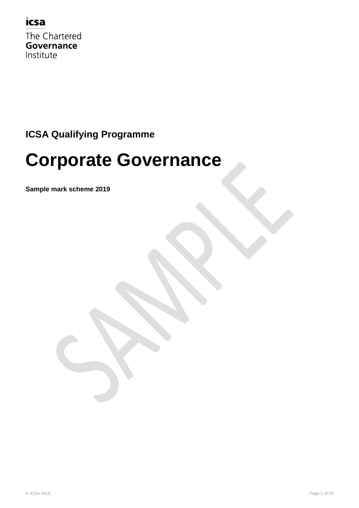

The Chartered Governance Institute

### **ICSA Qualifying Programme**

# **Corporate Governance**

**Sample mark scheme 2019**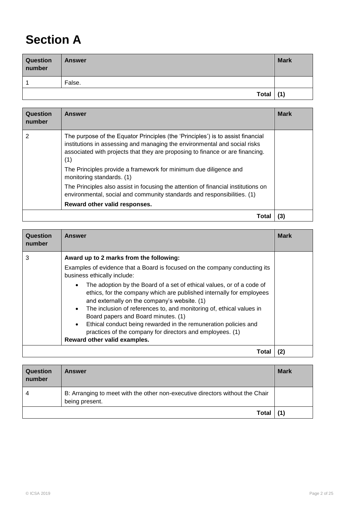### **Section A**

| Question<br>number | <b>Answer</b> | <b>Mark</b> |
|--------------------|---------------|-------------|
|                    | False.        |             |
|                    | Total $(1)$   |             |

| Question<br>number | <b>Answer</b>                                                                                                                                                                                                                                                                                                                                         | <b>Mark</b> |
|--------------------|-------------------------------------------------------------------------------------------------------------------------------------------------------------------------------------------------------------------------------------------------------------------------------------------------------------------------------------------------------|-------------|
|                    | The purpose of the Equator Principles (the 'Principles') is to assist financial<br>institutions in assessing and managing the environmental and social risks<br>associated with projects that they are proposing to finance or are financing.<br>(1)<br>The Principles provide a framework for minimum due diligence and<br>monitoring standards. (1) |             |
|                    | The Principles also assist in focusing the attention of financial institutions on<br>environmental, social and community standards and responsibilities. (1)<br>Reward other valid responses.                                                                                                                                                         |             |
|                    | Tota                                                                                                                                                                                                                                                                                                                                                  | (3)         |

| Question<br>number | Answer                                                                                                                                                                                                                                                                                                                                                                                                                                                                                                 | <b>Mark</b> |
|--------------------|--------------------------------------------------------------------------------------------------------------------------------------------------------------------------------------------------------------------------------------------------------------------------------------------------------------------------------------------------------------------------------------------------------------------------------------------------------------------------------------------------------|-------------|
| 3                  | Award up to 2 marks from the following:                                                                                                                                                                                                                                                                                                                                                                                                                                                                |             |
|                    | Examples of evidence that a Board is focused on the company conducting its<br>business ethically include:                                                                                                                                                                                                                                                                                                                                                                                              |             |
|                    | The adoption by the Board of a set of ethical values, or of a code of<br>ethics, for the company which are published internally for employees<br>and externally on the company's website. (1)<br>The inclusion of references to, and monitoring of, ethical values in<br>$\bullet$<br>Board papers and Board minutes. (1)<br>Ethical conduct being rewarded in the remuneration policies and<br>$\bullet$<br>practices of the company for directors and employees. (1)<br>Reward other valid examples. |             |
|                    |                                                                                                                                                                                                                                                                                                                                                                                                                                                                                                        |             |
|                    | Total                                                                                                                                                                                                                                                                                                                                                                                                                                                                                                  | (2)         |

| Question<br>number | <b>Answer</b>                                                                                   | <b>Mark</b> |
|--------------------|-------------------------------------------------------------------------------------------------|-------------|
| 4                  | B: Arranging to meet with the other non-executive directors without the Chair<br>being present. |             |
|                    | Total                                                                                           | (1)         |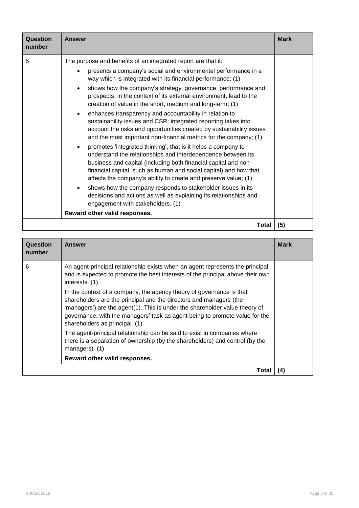| Question<br>number | <b>Answer</b>                                                                                                                                                                                                                                                                                                                                                                                                                                                                                                                                                                                                                                                                                                                                                                                                                                                                                                                                                                                                                                                                                                                                                                                                                                                             | <b>Mark</b> |
|--------------------|---------------------------------------------------------------------------------------------------------------------------------------------------------------------------------------------------------------------------------------------------------------------------------------------------------------------------------------------------------------------------------------------------------------------------------------------------------------------------------------------------------------------------------------------------------------------------------------------------------------------------------------------------------------------------------------------------------------------------------------------------------------------------------------------------------------------------------------------------------------------------------------------------------------------------------------------------------------------------------------------------------------------------------------------------------------------------------------------------------------------------------------------------------------------------------------------------------------------------------------------------------------------------|-------------|
| 5                  | The purpose and benefits of an integrated report are that it:<br>presents a company's social and environmental performance in a<br>way which is integrated with its financial performance; (1)<br>shows how the company's strategy, governance, performance and<br>$\bullet$<br>prospects, in the context of its external environment, lead to the<br>creation of value in the short, medium and long-term; (1)<br>enhances transparency and accountability in relation to<br>$\bullet$<br>sustainability issues and CSR: integrated reporting takes into<br>account the risks and opportunities created by sustainability issues<br>and the most important non-financial metrics for the company; (1)<br>promotes 'integrated thinking', that is it helps a company to<br>$\bullet$<br>understand the relationships and interdependence between its<br>business and capital (including both financial capital and non-<br>financial capital, such as human and social capital) and how that<br>affects the company's ability to create and preserve value; (1)<br>shows how the company responds to stakeholder issues in its<br>decisions and actions as well as explaining its relationships and<br>engagement with stakeholders. (1)<br>Reward other valid responses. |             |
|                    | Total                                                                                                                                                                                                                                                                                                                                                                                                                                                                                                                                                                                                                                                                                                                                                                                                                                                                                                                                                                                                                                                                                                                                                                                                                                                                     | (5)         |

| Question<br>number | Answer                                                                                                                                                                                                                                                                                                                                     | <b>Mark</b> |
|--------------------|--------------------------------------------------------------------------------------------------------------------------------------------------------------------------------------------------------------------------------------------------------------------------------------------------------------------------------------------|-------------|
| 6                  | An agent-principal relationship exists when an agent represents the principal<br>and is expected to promote the best interests of the principal above their own<br>interests. (1)                                                                                                                                                          |             |
|                    | In the context of a company, the agency theory of governance is that<br>shareholders are the principal and the directors and managers (the<br>'managers') are the agent(1). This is under the shareholder value theory of<br>governance, with the managers' task as agent being to promote value for the<br>shareholders as principal. (1) |             |
|                    | The agent-principal relationship can be said to exist in companies where<br>there is a separation of ownership (by the shareholders) and control (by the<br>managers). (1)                                                                                                                                                                 |             |
|                    | Reward other valid responses.                                                                                                                                                                                                                                                                                                              |             |
|                    | Total                                                                                                                                                                                                                                                                                                                                      | (4)         |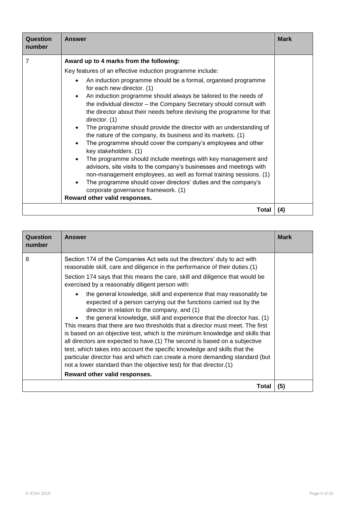| Question<br>number | <b>Answer</b>                                                                                                                                                                                                                                                                                                                                                                                                                                                                                                                                                                                                                                                                                      | <b>Mark</b> |
|--------------------|----------------------------------------------------------------------------------------------------------------------------------------------------------------------------------------------------------------------------------------------------------------------------------------------------------------------------------------------------------------------------------------------------------------------------------------------------------------------------------------------------------------------------------------------------------------------------------------------------------------------------------------------------------------------------------------------------|-------------|
| 7                  | Award up to 4 marks from the following:<br>Key features of an effective induction programme include:<br>An induction programme should be a formal, organised programme<br>$\bullet$<br>for each new director. (1)<br>An induction programme should always be tailored to the needs of<br>$\bullet$<br>the individual director – the Company Secretary should consult with<br>the director about their needs before devising the programme for that<br>director. (1)<br>The programme should provide the director with an understanding of<br>the nature of the company, its business and its markets. (1)<br>The programme should cover the company's employees and other<br>key stakeholders. (1) |             |
|                    | The programme should include meetings with key management and<br>$\bullet$<br>advisors, site visits to the company's businesses and meetings with<br>non-management employees, as well as formal training sessions. (1)<br>The programme should cover directors' duties and the company's<br>corporate governance framework. (1)<br>Reward other valid responses.                                                                                                                                                                                                                                                                                                                                  |             |
|                    | Total                                                                                                                                                                                                                                                                                                                                                                                                                                                                                                                                                                                                                                                                                              | (4)         |

| Question<br>number | <b>Answer</b>                                                                                                                                                                                                                                                                                                                                                                                                                                                                                                                                                                                                                                                                                                                                                                                                                                                                                                                                                                                                                                                                          | <b>Mark</b> |
|--------------------|----------------------------------------------------------------------------------------------------------------------------------------------------------------------------------------------------------------------------------------------------------------------------------------------------------------------------------------------------------------------------------------------------------------------------------------------------------------------------------------------------------------------------------------------------------------------------------------------------------------------------------------------------------------------------------------------------------------------------------------------------------------------------------------------------------------------------------------------------------------------------------------------------------------------------------------------------------------------------------------------------------------------------------------------------------------------------------------|-------------|
| 8                  | Section 174 of the Companies Act sets out the directors' duty to act with<br>reasonable skill, care and diligence in the performance of their duties.(1)<br>Section 174 says that this means the care, skill and diligence that would be<br>exercised by a reasonably diligent person with:<br>the general knowledge, skill and experience that may reasonably be<br>expected of a person carrying out the functions carried out by the<br>director in relation to the company, and (1)<br>the general knowledge, skill and experience that the director has. (1)<br>This means that there are two thresholds that a director must meet. The first<br>is based on an objective test, which is the minimum knowledge and skills that<br>all directors are expected to have. (1) The second is based on a subjective<br>test, which takes into account the specific knowledge and skills that the<br>particular director has and which can create a more demanding standard (but<br>not a lower standard than the objective test) for that director.(1)<br>Reward other valid responses. |             |
|                    | Total                                                                                                                                                                                                                                                                                                                                                                                                                                                                                                                                                                                                                                                                                                                                                                                                                                                                                                                                                                                                                                                                                  | (5)         |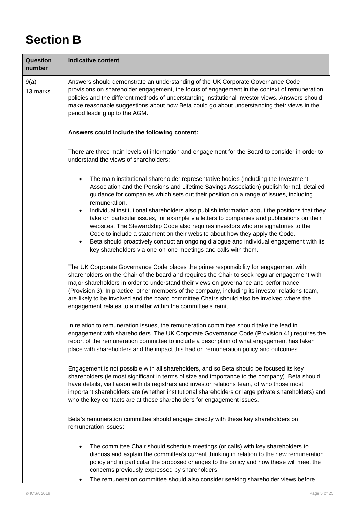## **Section B**

| Question<br>number | <b>Indicative content</b>                                                                                                                                                                                                                                                                                                                                                                                                                                                                                                                                                                                                                                                                                                                                                                                                                    |
|--------------------|----------------------------------------------------------------------------------------------------------------------------------------------------------------------------------------------------------------------------------------------------------------------------------------------------------------------------------------------------------------------------------------------------------------------------------------------------------------------------------------------------------------------------------------------------------------------------------------------------------------------------------------------------------------------------------------------------------------------------------------------------------------------------------------------------------------------------------------------|
| 9(a)<br>13 marks   | Answers should demonstrate an understanding of the UK Corporate Governance Code<br>provisions on shareholder engagement, the focus of engagement in the context of remuneration<br>policies and the different methods of understanding institutional investor views. Answers should<br>make reasonable suggestions about how Beta could go about understanding their views in the<br>period leading up to the AGM.                                                                                                                                                                                                                                                                                                                                                                                                                           |
|                    | Answers could include the following content:                                                                                                                                                                                                                                                                                                                                                                                                                                                                                                                                                                                                                                                                                                                                                                                                 |
|                    | There are three main levels of information and engagement for the Board to consider in order to<br>understand the views of shareholders:                                                                                                                                                                                                                                                                                                                                                                                                                                                                                                                                                                                                                                                                                                     |
|                    | The main institutional shareholder representative bodies (including the Investment<br>Association and the Pensions and Lifetime Savings Association) publish formal, detailed<br>guidance for companies which sets out their position on a range of issues, including<br>remuneration.<br>Individual institutional shareholders also publish information about the positions that they<br>$\bullet$<br>take on particular issues, for example via letters to companies and publications on their<br>websites. The Stewardship Code also requires investors who are signatories to the<br>Code to include a statement on their website about how they apply the Code.<br>Beta should proactively conduct an ongoing dialogue and individual engagement with its<br>$\bullet$<br>key shareholders via one-on-one meetings and calls with them. |
|                    | The UK Corporate Governance Code places the prime responsibility for engagement with<br>shareholders on the Chair of the board and requires the Chair to seek regular engagement with<br>major shareholders in order to understand their views on governance and performance<br>(Provision 3). In practice, other members of the company, including its investor relations team,<br>are likely to be involved and the board committee Chairs should also be involved where the<br>engagement relates to a matter within the committee's remit.                                                                                                                                                                                                                                                                                               |
|                    | In relation to remuneration issues, the remuneration committee should take the lead in<br>engagement with shareholders. The UK Corporate Governance Code (Provision 41) requires the<br>report of the remuneration committee to include a description of what engagement has taken<br>place with shareholders and the impact this had on remuneration policy and outcomes.                                                                                                                                                                                                                                                                                                                                                                                                                                                                   |
|                    | Engagement is not possible with all shareholders, and so Beta should be focused its key<br>shareholders (ie most significant in terms of size and importance to the company). Beta should<br>have details, via liaison with its registrars and investor relations team, of who those most<br>important shareholders are (whether institutional shareholders or large private shareholders) and<br>who the key contacts are at those shareholders for engagement issues.                                                                                                                                                                                                                                                                                                                                                                      |
|                    | Beta's remuneration committee should engage directly with these key shareholders on<br>remuneration issues:                                                                                                                                                                                                                                                                                                                                                                                                                                                                                                                                                                                                                                                                                                                                  |
|                    | The committee Chair should schedule meetings (or calls) with key shareholders to<br>discuss and explain the committee's current thinking in relation to the new remuneration<br>policy and in particular the proposed changes to the policy and how these will meet the<br>concerns previously expressed by shareholders.<br>The remuneration committee should also consider seeking shareholder views before                                                                                                                                                                                                                                                                                                                                                                                                                                |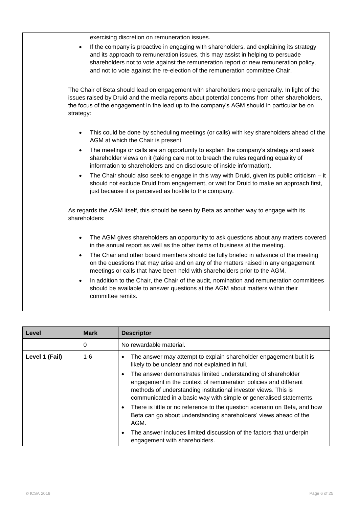| exercising discretion on remuneration issues.                                                                                                                                                                                                                                                                                                                  |
|----------------------------------------------------------------------------------------------------------------------------------------------------------------------------------------------------------------------------------------------------------------------------------------------------------------------------------------------------------------|
| If the company is proactive in engaging with shareholders, and explaining its strategy<br>$\bullet$<br>and its approach to remuneration issues, this may assist in helping to persuade<br>shareholders not to vote against the remuneration report or new remuneration policy,<br>and not to vote against the re-election of the remuneration committee Chair. |
| The Chair of Beta should lead on engagement with shareholders more generally. In light of the<br>issues raised by Druid and the media reports about potential concerns from other shareholders,<br>the focus of the engagement in the lead up to the company's AGM should in particular be on<br>strategy:                                                     |
| This could be done by scheduling meetings (or calls) with key shareholders ahead of the<br>$\bullet$<br>AGM at which the Chair is present                                                                                                                                                                                                                      |
| The meetings or calls are an opportunity to explain the company's strategy and seek<br>$\bullet$<br>shareholder views on it (taking care not to breach the rules regarding equality of<br>information to shareholders and on disclosure of inside information).                                                                                                |
| The Chair should also seek to engage in this way with Druid, given its public criticism - it<br>$\bullet$<br>should not exclude Druid from engagement, or wait for Druid to make an approach first,<br>just because it is perceived as hostile to the company.                                                                                                 |
| As regards the AGM itself, this should be seen by Beta as another way to engage with its<br>shareholders:                                                                                                                                                                                                                                                      |
| The AGM gives shareholders an opportunity to ask questions about any matters covered<br>in the annual report as well as the other items of business at the meeting.                                                                                                                                                                                            |
| The Chair and other board members should be fully briefed in advance of the meeting<br>$\bullet$<br>on the questions that may arise and on any of the matters raised in any engagement<br>meetings or calls that have been held with shareholders prior to the AGM.                                                                                            |
| In addition to the Chair, the Chair of the audit, nomination and remuneration committees<br>$\bullet$<br>should be available to answer questions at the AGM about matters within their<br>committee remits.                                                                                                                                                    |
|                                                                                                                                                                                                                                                                                                                                                                |

| Level          | <b>Mark</b> | <b>Descriptor</b>                                                                                                                                                                                                                                                        |
|----------------|-------------|--------------------------------------------------------------------------------------------------------------------------------------------------------------------------------------------------------------------------------------------------------------------------|
|                | 0           | No rewardable material.                                                                                                                                                                                                                                                  |
| Level 1 (Fail) | $1 - 6$     | The answer may attempt to explain shareholder engagement but it is<br>likely to be unclear and not explained in full.                                                                                                                                                    |
|                |             | The answer demonstrates limited understanding of shareholder<br>engagement in the context of remuneration policies and different<br>methods of understanding institutional investor views. This is<br>communicated in a basic way with simple or generalised statements. |
|                |             | There is little or no reference to the question scenario on Beta, and how<br>Beta can go about understanding shareholders' views ahead of the<br>AGM.                                                                                                                    |
|                |             | The answer includes limited discussion of the factors that underpin<br>engagement with shareholders.                                                                                                                                                                     |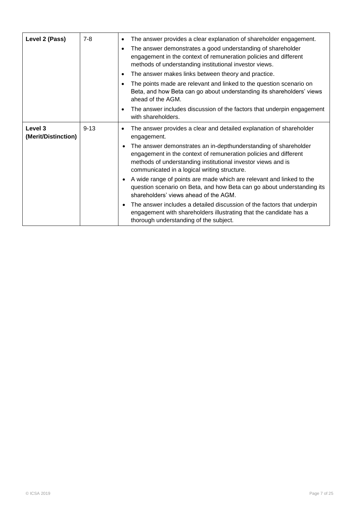| Level 2 (Pass)                 | $7 - 8$  | $\bullet$<br>$\bullet$ | The answer provides a clear explanation of shareholder engagement.<br>The answer demonstrates a good understanding of shareholder<br>engagement in the context of remuneration policies and different<br>methods of understanding institutional investor views. |
|--------------------------------|----------|------------------------|-----------------------------------------------------------------------------------------------------------------------------------------------------------------------------------------------------------------------------------------------------------------|
|                                |          | $\bullet$              | The answer makes links between theory and practice.                                                                                                                                                                                                             |
|                                |          | $\bullet$              | The points made are relevant and linked to the question scenario on<br>Beta, and how Beta can go about understanding its shareholders' views<br>ahead of the AGM.                                                                                               |
|                                |          | $\bullet$              | The answer includes discussion of the factors that underpin engagement<br>with shareholders.                                                                                                                                                                    |
| Level 3<br>(Merit/Distinction) | $9 - 13$ | $\bullet$              | The answer provides a clear and detailed explanation of shareholder<br>engagement.                                                                                                                                                                              |
|                                |          | ٠                      | The answer demonstrates an in-depthunderstanding of shareholder<br>engagement in the context of remuneration policies and different<br>methods of understanding institutional investor views and is<br>communicated in a logical writing structure.             |
|                                |          |                        | A wide range of points are made which are relevant and linked to the<br>question scenario on Beta, and how Beta can go about understanding its<br>shareholders' views ahead of the AGM.                                                                         |
|                                |          | $\bullet$              | The answer includes a detailed discussion of the factors that underpin<br>engagement with shareholders illustrating that the candidate has a<br>thorough understanding of the subject.                                                                          |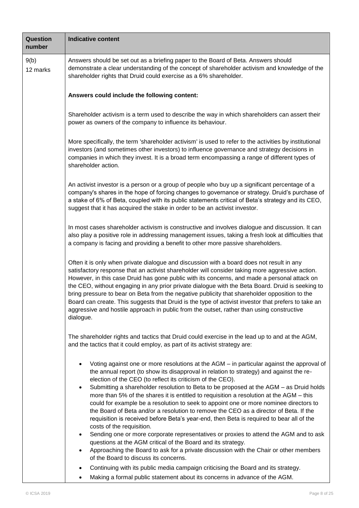| Question<br>number | <b>Indicative content</b>                                                                                                                                                                                                                                                                                                                                                                                                                                                                                                                                                                                                                                                                                                                                                                                                                                                                                                                                                                                                                                                                                                                                                                                                          |  |  |  |  |
|--------------------|------------------------------------------------------------------------------------------------------------------------------------------------------------------------------------------------------------------------------------------------------------------------------------------------------------------------------------------------------------------------------------------------------------------------------------------------------------------------------------------------------------------------------------------------------------------------------------------------------------------------------------------------------------------------------------------------------------------------------------------------------------------------------------------------------------------------------------------------------------------------------------------------------------------------------------------------------------------------------------------------------------------------------------------------------------------------------------------------------------------------------------------------------------------------------------------------------------------------------------|--|--|--|--|
| 9(b)<br>12 marks   | Answers should be set out as a briefing paper to the Board of Beta. Answers should<br>demonstrate a clear understanding of the concept of shareholder activism and knowledge of the<br>shareholder rights that Druid could exercise as a 6% shareholder.                                                                                                                                                                                                                                                                                                                                                                                                                                                                                                                                                                                                                                                                                                                                                                                                                                                                                                                                                                           |  |  |  |  |
|                    | Answers could include the following content:                                                                                                                                                                                                                                                                                                                                                                                                                                                                                                                                                                                                                                                                                                                                                                                                                                                                                                                                                                                                                                                                                                                                                                                       |  |  |  |  |
|                    | Shareholder activism is a term used to describe the way in which shareholders can assert their<br>power as owners of the company to influence its behaviour.                                                                                                                                                                                                                                                                                                                                                                                                                                                                                                                                                                                                                                                                                                                                                                                                                                                                                                                                                                                                                                                                       |  |  |  |  |
|                    | More specifically, the term 'shareholder activism' is used to refer to the activities by institutional<br>investors (and sometimes other investors) to influence governance and strategy decisions in<br>companies in which they invest. It is a broad term encompassing a range of different types of<br>shareholder action.                                                                                                                                                                                                                                                                                                                                                                                                                                                                                                                                                                                                                                                                                                                                                                                                                                                                                                      |  |  |  |  |
|                    | An activist investor is a person or a group of people who buy up a significant percentage of a<br>company's shares in the hope of forcing changes to governance or strategy. Druid's purchase of<br>a stake of 6% of Beta, coupled with its public statements critical of Beta's strategy and its CEO,<br>suggest that it has acquired the stake in order to be an activist investor.                                                                                                                                                                                                                                                                                                                                                                                                                                                                                                                                                                                                                                                                                                                                                                                                                                              |  |  |  |  |
|                    | In most cases shareholder activism is constructive and involves dialogue and discussion. It can<br>also play a positive role in addressing management issues, taking a fresh look at difficulties that<br>a company is facing and providing a benefit to other more passive shareholders.                                                                                                                                                                                                                                                                                                                                                                                                                                                                                                                                                                                                                                                                                                                                                                                                                                                                                                                                          |  |  |  |  |
|                    | Often it is only when private dialogue and discussion with a board does not result in any<br>satisfactory response that an activist shareholder will consider taking more aggressive action.<br>However, in this case Druid has gone public with its concerns, and made a personal attack on<br>the CEO, without engaging in any prior private dialogue with the Beta Board. Druid is seeking to<br>bring pressure to bear on Beta from the negative publicity that shareholder opposition to the<br>Board can create. This suggests that Druid is the type of activist investor that prefers to take an<br>aggressive and hostile approach in public from the outset, rather than using constructive<br>dialogue.                                                                                                                                                                                                                                                                                                                                                                                                                                                                                                                 |  |  |  |  |
|                    | The shareholder rights and tactics that Druid could exercise in the lead up to and at the AGM,<br>and the tactics that it could employ, as part of its activist strategy are:                                                                                                                                                                                                                                                                                                                                                                                                                                                                                                                                                                                                                                                                                                                                                                                                                                                                                                                                                                                                                                                      |  |  |  |  |
|                    | Voting against one or more resolutions at the AGM - in particular against the approval of<br>the annual report (to show its disapproval in relation to strategy) and against the re-<br>election of the CEO (to reflect its criticism of the CEO).<br>Submitting a shareholder resolution to Beta to be proposed at the AGM - as Druid holds<br>٠<br>more than 5% of the shares it is entitled to requisition a resolution at the AGM - this<br>could for example be a resolution to seek to appoint one or more nominee directors to<br>the Board of Beta and/or a resolution to remove the CEO as a director of Beta. If the<br>requisition is received before Beta's year-end, then Beta is required to bear all of the<br>costs of the requisition.<br>Sending one or more corporate representatives or proxies to attend the AGM and to ask<br>$\bullet$<br>questions at the AGM critical of the Board and its strategy.<br>Approaching the Board to ask for a private discussion with the Chair or other members<br>of the Board to discuss its concerns.<br>Continuing with its public media campaign criticising the Board and its strategy.<br>Making a formal public statement about its concerns in advance of the AGM. |  |  |  |  |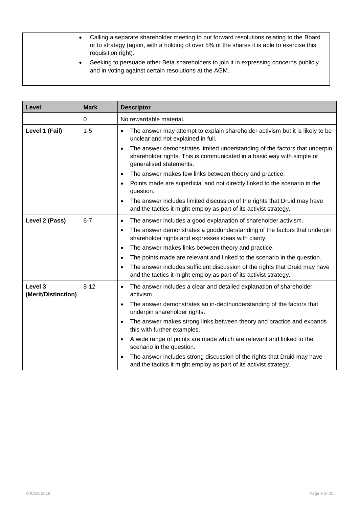| Calling a separate shareholder meeting to put forward resolutions relating to the Board<br>or to strategy (again, with a holding of over 5% of the shares it is able to exercise this<br>requisition right). |
|--------------------------------------------------------------------------------------------------------------------------------------------------------------------------------------------------------------|
| Seeking to persuade other Beta shareholders to join it in expressing concerns publicly<br>and in voting against certain resolutions at the AGM.                                                              |

| Level                          | <b>Mark</b> | <b>Descriptor</b>                                                                                                                                                                            |
|--------------------------------|-------------|----------------------------------------------------------------------------------------------------------------------------------------------------------------------------------------------|
|                                | 0           | No rewardable material.                                                                                                                                                                      |
| Level 1 (Fail)                 | $1 - 5$     | The answer may attempt to explain shareholder activism but it is likely to be<br>$\bullet$<br>unclear and not explained in full.                                                             |
|                                |             | The answer demonstrates limited understanding of the factors that underpin<br>$\bullet$<br>shareholder rights. This is communicated in a basic way with simple or<br>generalised statements. |
|                                |             | The answer makes few links between theory and practice.<br>$\bullet$                                                                                                                         |
|                                |             | Points made are superficial and not directly linked to the scenario in the<br>$\bullet$<br>question.                                                                                         |
|                                |             | The answer includes limited discussion of the rights that Druid may have<br>$\bullet$<br>and the tactics it might employ as part of its activist strategy.                                   |
| Level 2 (Pass)                 | $6 - 7$     | The answer includes a good explanation of shareholder activism.<br>$\bullet$                                                                                                                 |
|                                |             | The answer demonstrates a goodunderstanding of the factors that underpin<br>$\bullet$<br>shareholder rights and expresses ideas with clarity.                                                |
|                                |             | The answer makes links between theory and practice.<br>$\bullet$                                                                                                                             |
|                                |             | The points made are relevant and linked to the scenario in the question.<br>$\bullet$                                                                                                        |
|                                |             | The answer includes sufficient discussion of the rights that Druid may have<br>$\bullet$<br>and the tactics it might employ as part of its activist strategy.                                |
| Level 3<br>(Merit/Distinction) | $8 - 12$    | The answer includes a clear and detailed explanation of shareholder<br>$\bullet$<br>activism.                                                                                                |
|                                |             | The answer demonstrates an in-depthunderstanding of the factors that<br>$\bullet$<br>underpin shareholder rights.                                                                            |
|                                |             | The answer makes strong links between theory and practice and expands<br>$\bullet$<br>this with further examples.                                                                            |
|                                |             | A wide range of points are made which are relevant and linked to the<br>$\bullet$<br>scenario in the question.                                                                               |
|                                |             | The answer includes strong discussion of the rights that Druid may have<br>and the tactics it might employ as part of its activist strategy.                                                 |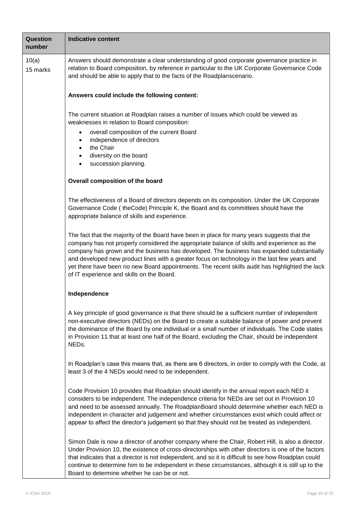| Question<br>number | <b>Indicative content</b>                                                                                                                                                                                                                                                                                                                                                                                                                                                                                                               |  |  |  |
|--------------------|-----------------------------------------------------------------------------------------------------------------------------------------------------------------------------------------------------------------------------------------------------------------------------------------------------------------------------------------------------------------------------------------------------------------------------------------------------------------------------------------------------------------------------------------|--|--|--|
| 10(a)<br>15 marks  | Answers should demonstrate a clear understanding of good corporate governance practice in<br>relation to Board composition, by reference in particular to the UK Corporate Governance Code<br>and should be able to apply that to the facts of the Roadplanscenario.                                                                                                                                                                                                                                                                    |  |  |  |
|                    | Answers could include the following content:                                                                                                                                                                                                                                                                                                                                                                                                                                                                                            |  |  |  |
|                    | The current situation at Roadplan raises a number of issues which could be viewed as<br>weaknesses in relation to Board composition:<br>overall composition of the current Board<br>$\bullet$<br>independence of directors<br>$\bullet$<br>the Chair<br>diversity on the board<br>$\bullet$<br>succession planning.                                                                                                                                                                                                                     |  |  |  |
|                    | Overall composition of the board                                                                                                                                                                                                                                                                                                                                                                                                                                                                                                        |  |  |  |
|                    | The effectiveness of a Board of directors depends on its composition. Under the UK Corporate<br>Governance Code (theCode) Principle K, the Board and its committees should have the<br>appropriate balance of skills and experience.                                                                                                                                                                                                                                                                                                    |  |  |  |
|                    | The fact that the majority of the Board have been in place for many years suggests that the<br>company has not properly considered the appropriate balance of skills and experience as the<br>company has grown and the business has developed. The business has expanded substantially<br>and developed new product lines with a greater focus on technology in the last few years and<br>yet there have been no new Board appointments. The recent skills audit has highlighted the lack<br>of IT experience and skills on the Board. |  |  |  |
|                    | Independence                                                                                                                                                                                                                                                                                                                                                                                                                                                                                                                            |  |  |  |
|                    | A key principle of good governance is that there should be a sufficient number of independent<br>non-executive directors (NEDs) on the Board to create a suitable balance of power and prevent<br>the dominance of the Board by one individual or a small number of individuals. The Code states<br>in Provision 11 that at least one half of the Board, excluding the Chair, should be independent<br>NEDs.                                                                                                                            |  |  |  |
|                    | In Roadplan's case this means that, as there are 6 directors, in order to comply with the Code, at<br>least 3 of the 4 NEDs would need to be independent.                                                                                                                                                                                                                                                                                                                                                                               |  |  |  |
|                    | Code Provision 10 provides that Roadplan should identify in the annual report each NED it<br>considers to be independent. The independence criteria for NEDs are set out in Provision 10<br>and need to be assessed annually. The RoadplanBoard should determine whether each NED is<br>independent in character and judgement and whether circumstances exist which could affect or<br>appear to affect the director's judgement so that they should not be treated as independent.                                                    |  |  |  |
|                    | Simon Dale is now a director of another company where the Chair, Robert Hill, is also a director.<br>Under Provision 10, the existence of cross-directorships with other directors is one of the factors<br>that indicates that a director is not independent, and so it is difficult to see how Roadplan could<br>continue to determine him to be independent in these circumstances, although it is still up to the<br>Board to determine whether he can be or not.                                                                   |  |  |  |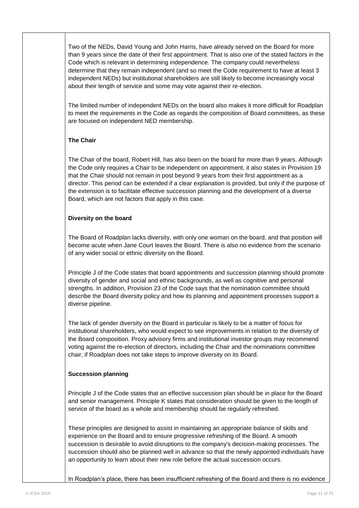Two of the NEDs, David Young and John Harris, have already served on the Board for more than 9 years since the date of their first appointment. That is also one of the stated factors in the Code which is relevant in determining independence. The company could nevertheless determine that they remain independent (and so meet the Code requirement to have at least 3 independent NEDs) but institutional shareholders are still likely to become increasingly vocal about their length of service and some may vote against their re-election.

The limited number of independent NEDs on the board also makes it more difficult for Roadplan to meet the requirements in the Code as regards the composition of Board committees, as these are focused on independent NED membership.

### **The Chair**

The Chair of the board, Robert Hill, has also been on the board for more than 9 years. Although the Code only requires a Chair to be independent on appointment, it also states in Provision 19 that the Chair should not remain in post beyond 9 years from their first appointment as a director. This period can be extended if a clear explanation is provided, but only if the purpose of the extension is to facilitate effective succession planning and the development of a diverse Board, which are not factors that apply in this case.

#### **Diversity on the board**

The Board of Roadplan lacks diversity, with only one woman on the board, and that position will become acute when Jane Court leaves the Board. There is also no evidence from the scenario of any wider social or ethnic diversity on the Board.

Principle J of the Code states that board appointments and succession planning should promote diversity of gender and social and ethnic backgrounds, as well as cognitive and personal strengths. In addition, Provision 23 of the Code says that the nomination committee should describe the Board diversity policy and how its planning and appointment processes support a diverse pipeline.

The lack of gender diversity on the Board in particular is likely to be a matter of focus for institutional shareholders, who would expect to see improvements in relation to the diversity of the Board composition. Proxy advisory firms and institutional investor groups may recommend voting against the re-election of directors, including the Chair and the nominations committee chair, if Roadplan does not take steps to improve diversity on its Board.

### **Succession planning**

Principle J of the Code states that an effective succession plan should be in place for the Board and senior management. Principle K states that consideration should be given to the length of service of the board as a whole and membership should be regularly refreshed.

These principles are designed to assist in maintaining an appropriate balance of skills and experience on the Board and to ensure progressive refreshing of the Board. A smooth succession is desirable to avoid disruptions to the company's decision-making processes. The succession should also be planned well in advance so that the newly appointed individuals have an opportunity to learn about their new role before the actual succession occurs.

In Roadplan"s place, there has been insufficient refreshing of the Board and there is no evidence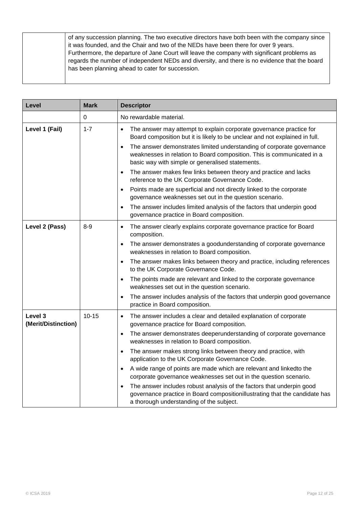| of any succession planning. The two executive directors have both been with the company since<br>it was founded, and the Chair and two of the NEDs have been there for over 9 years.                                                              |
|---------------------------------------------------------------------------------------------------------------------------------------------------------------------------------------------------------------------------------------------------|
| Furthermore, the departure of Jane Court will leave the company with significant problems as<br>regards the number of independent NEDs and diversity, and there is no evidence that the board<br>has been planning ahead to cater for succession. |
|                                                                                                                                                                                                                                                   |

| Level                          | <b>Mark</b> | <b>Descriptor</b>                                                                                                                                                                                                |
|--------------------------------|-------------|------------------------------------------------------------------------------------------------------------------------------------------------------------------------------------------------------------------|
|                                | 0           | No rewardable material.                                                                                                                                                                                          |
| Level 1 (Fail)                 | $1 - 7$     | The answer may attempt to explain corporate governance practice for<br>$\bullet$<br>Board composition but it is likely to be unclear and not explained in full.                                                  |
|                                |             | The answer demonstrates limited understanding of corporate governance<br>$\bullet$<br>weaknesses in relation to Board composition. This is communicated in a<br>basic way with simple or generalised statements. |
|                                |             | The answer makes few links between theory and practice and lacks<br>$\bullet$<br>reference to the UK Corporate Governance Code.                                                                                  |
|                                |             | Points made are superficial and not directly linked to the corporate<br>$\bullet$<br>governance weaknesses set out in the question scenario.                                                                     |
|                                |             | The answer includes limited analysis of the factors that underpin good<br>$\bullet$<br>governance practice in Board composition.                                                                                 |
| Level 2 (Pass)                 | $8 - 9$     | The answer clearly explains corporate governance practice for Board<br>$\bullet$<br>composition.                                                                                                                 |
|                                |             | The answer demonstrates a goodunderstanding of corporate governance<br>$\bullet$<br>weaknesses in relation to Board composition.                                                                                 |
|                                |             | The answer makes links between theory and practice, including references<br>$\bullet$<br>to the UK Corporate Governance Code.                                                                                    |
|                                |             | The points made are relevant and linked to the corporate governance<br>$\bullet$<br>weaknesses set out in the question scenario.                                                                                 |
|                                |             | The answer includes analysis of the factors that underpin good governance<br>$\bullet$<br>practice in Board composition.                                                                                         |
| Level 3<br>(Merit/Distinction) | $10 - 15$   | The answer includes a clear and detailed explanation of corporate<br>$\bullet$<br>governance practice for Board composition.                                                                                     |
|                                |             | The answer demonstrates deeperunderstanding of corporate governance<br>$\bullet$<br>weaknesses in relation to Board composition.                                                                                 |
|                                |             | The answer makes strong links between theory and practice, with<br>$\bullet$<br>application to the UK Corporate Governance Code.                                                                                 |
|                                |             | A wide range of points are made which are relevant and linkedto the<br>corporate governance weaknesses set out in the question scenario.                                                                         |
|                                |             | The answer includes robust analysis of the factors that underpin good<br>$\bullet$<br>governance practice in Board compositionillustrating that the candidate has<br>a thorough understanding of the subject.    |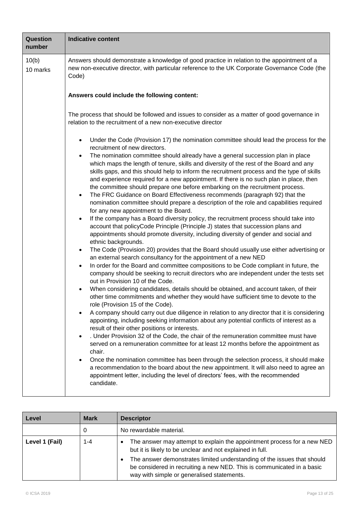| Question<br>number | <b>Indicative content</b>                                                                                                                                                                                                                                                                                                                                                                                                                                                                                                                                                                                                                                                                                                                                                                                                                                                                                                                                                                                                                                                                                                                                                                                                                                                                                                                                                                                                                                                                                                                                                                                                                                                                                                                                                                                                                                                                                                                                                                                                                                                                                                                                                                                                                                                                                                                                                                                                                                                                                                           |  |  |  |
|--------------------|-------------------------------------------------------------------------------------------------------------------------------------------------------------------------------------------------------------------------------------------------------------------------------------------------------------------------------------------------------------------------------------------------------------------------------------------------------------------------------------------------------------------------------------------------------------------------------------------------------------------------------------------------------------------------------------------------------------------------------------------------------------------------------------------------------------------------------------------------------------------------------------------------------------------------------------------------------------------------------------------------------------------------------------------------------------------------------------------------------------------------------------------------------------------------------------------------------------------------------------------------------------------------------------------------------------------------------------------------------------------------------------------------------------------------------------------------------------------------------------------------------------------------------------------------------------------------------------------------------------------------------------------------------------------------------------------------------------------------------------------------------------------------------------------------------------------------------------------------------------------------------------------------------------------------------------------------------------------------------------------------------------------------------------------------------------------------------------------------------------------------------------------------------------------------------------------------------------------------------------------------------------------------------------------------------------------------------------------------------------------------------------------------------------------------------------------------------------------------------------------------------------------------------------|--|--|--|
| 10(b)<br>10 marks  | Answers should demonstrate a knowledge of good practice in relation to the appointment of a<br>new non-executive director, with particular reference to the UK Corporate Governance Code (the<br>Code)                                                                                                                                                                                                                                                                                                                                                                                                                                                                                                                                                                                                                                                                                                                                                                                                                                                                                                                                                                                                                                                                                                                                                                                                                                                                                                                                                                                                                                                                                                                                                                                                                                                                                                                                                                                                                                                                                                                                                                                                                                                                                                                                                                                                                                                                                                                              |  |  |  |
|                    | Answers could include the following content:                                                                                                                                                                                                                                                                                                                                                                                                                                                                                                                                                                                                                                                                                                                                                                                                                                                                                                                                                                                                                                                                                                                                                                                                                                                                                                                                                                                                                                                                                                                                                                                                                                                                                                                                                                                                                                                                                                                                                                                                                                                                                                                                                                                                                                                                                                                                                                                                                                                                                        |  |  |  |
|                    | The process that should be followed and issues to consider as a matter of good governance in<br>relation to the recruitment of a new non-executive director                                                                                                                                                                                                                                                                                                                                                                                                                                                                                                                                                                                                                                                                                                                                                                                                                                                                                                                                                                                                                                                                                                                                                                                                                                                                                                                                                                                                                                                                                                                                                                                                                                                                                                                                                                                                                                                                                                                                                                                                                                                                                                                                                                                                                                                                                                                                                                         |  |  |  |
|                    | Under the Code (Provision 17) the nomination committee should lead the process for the<br>$\bullet$<br>recruitment of new directors.<br>The nomination committee should already have a general succession plan in place<br>$\bullet$<br>which maps the length of tenure, skills and diversity of the rest of the Board and any<br>skills gaps, and this should help to inform the recruitment process and the type of skills<br>and experience required for a new appointment. If there is no such plan in place, then<br>the committee should prepare one before embarking on the recruitment process.<br>The FRC Guidance on Board Effectiveness recommends (paragraph 92) that the<br>$\bullet$<br>nomination committee should prepare a description of the role and capabilities required<br>for any new appointment to the Board.<br>If the company has a Board diversity policy, the recruitment process should take into<br>$\bullet$<br>account that policyCode Principle (Principle J) states that succession plans and<br>appointments should promote diversity, including diversity of gender and social and<br>ethnic backgrounds.<br>The Code (Provision 20) provides that the Board should usually use either advertising or<br>$\bullet$<br>an external search consultancy for the appointment of a new NED<br>In order for the Board and committee compositions to be Code compliant in future, the<br>$\bullet$<br>company should be seeking to recruit directors who are independent under the tests set<br>out in Provision 10 of the Code.<br>When considering candidates, details should be obtained, and account taken, of their<br>other time commitments and whether they would have sufficient time to devote to the<br>role (Provision 15 of the Code).<br>A company should carry out due diligence in relation to any director that it is considering<br>appointing, including seeking information about any potential conflicts of interest as a<br>result of their other positions or interests.<br>. Under Provision 32 of the Code, the chair of the remuneration committee must have<br>$\bullet$<br>served on a remuneration committee for at least 12 months before the appointment as<br>chair.<br>Once the nomination committee has been through the selection process, it should make<br>$\bullet$<br>a recommendation to the board about the new appointment. It will also need to agree an<br>appointment letter, including the level of directors' fees, with the recommended<br>candidate. |  |  |  |

| Level          | <b>Mark</b> | <b>Descriptor</b>                                                                                                                                                                                                                                                                                                                                 |
|----------------|-------------|---------------------------------------------------------------------------------------------------------------------------------------------------------------------------------------------------------------------------------------------------------------------------------------------------------------------------------------------------|
|                | 0           | No rewardable material.                                                                                                                                                                                                                                                                                                                           |
| Level 1 (Fail) | 1-4         | The answer may attempt to explain the appointment process for a new NED<br>٠<br>but it is likely to be unclear and not explained in full.<br>The answer demonstrates limited understanding of the issues that should<br>٠<br>be considered in recruiting a new NED. This is communicated in a basic<br>way with simple or generalised statements. |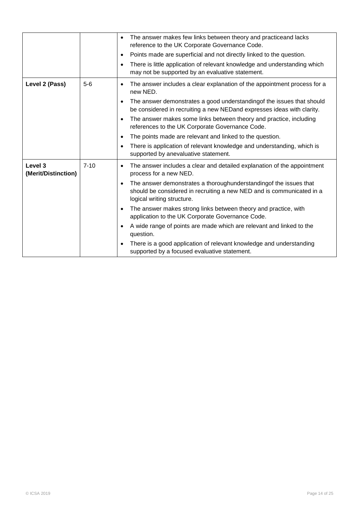|                                |          | The answer makes few links between theory and practiceand lacks<br>$\bullet$<br>reference to the UK Corporate Governance Code.<br>Points made are superficial and not directly linked to the question.<br>$\bullet$<br>There is little application of relevant knowledge and understanding which<br>$\bullet$<br>may not be supported by an evaluative statement.                                                                                                                                                                                                                                                                                                                  |
|--------------------------------|----------|------------------------------------------------------------------------------------------------------------------------------------------------------------------------------------------------------------------------------------------------------------------------------------------------------------------------------------------------------------------------------------------------------------------------------------------------------------------------------------------------------------------------------------------------------------------------------------------------------------------------------------------------------------------------------------|
| Level 2 (Pass)                 | $5-6$    | The answer includes a clear explanation of the appointment process for a<br>$\bullet$<br>new NED.<br>The answer demonstrates a good understanding of the issues that should<br>$\bullet$<br>be considered in recruiting a new NEDand expresses ideas with clarity.<br>The answer makes some links between theory and practice, including<br>$\bullet$<br>references to the UK Corporate Governance Code.<br>The points made are relevant and linked to the question.<br>$\bullet$<br>There is application of relevant knowledge and understanding, which is<br>$\bullet$<br>supported by anevaluative statement.                                                                   |
| Level 3<br>(Merit/Distinction) | $7 - 10$ | The answer includes a clear and detailed explanation of the appointment<br>$\bullet$<br>process for a new NED.<br>The answer demonstrates a thoroughunderstanding of the issues that<br>$\bullet$<br>should be considered in recruiting a new NED and is communicated in a<br>logical writing structure.<br>The answer makes strong links between theory and practice, with<br>$\bullet$<br>application to the UK Corporate Governance Code.<br>A wide range of points are made which are relevant and linked to the<br>$\bullet$<br>question.<br>There is a good application of relevant knowledge and understanding<br>$\bullet$<br>supported by a focused evaluative statement. |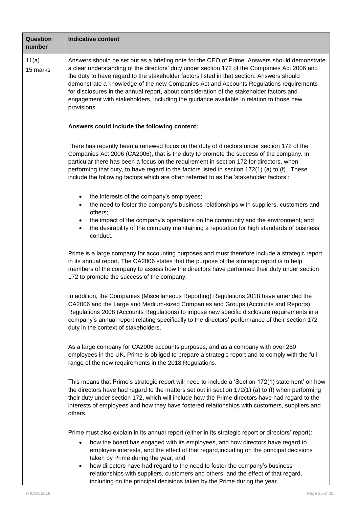| Question<br>number | <b>Indicative content</b>                                                                                                                                                                                                                                                                                                                                                                                                                                                                                                                                                                         |  |  |  |  |
|--------------------|---------------------------------------------------------------------------------------------------------------------------------------------------------------------------------------------------------------------------------------------------------------------------------------------------------------------------------------------------------------------------------------------------------------------------------------------------------------------------------------------------------------------------------------------------------------------------------------------------|--|--|--|--|
| 11(a)<br>15 marks  | Answers should be set out as a briefing note for the CEO of Prime. Answers should demonstrate<br>a clear understanding of the directors' duty under section 172 of the Companies Act 2006 and<br>the duty to have regard to the stakeholder factors listed in that section. Answers should<br>demonstrate a knowledge of the new Companies Act and Accounts Regulations requirements<br>for disclosures in the annual report, about consideration of the stakeholder factors and<br>engagement with stakeholders, including the guidance available in relation to those new<br>provisions.        |  |  |  |  |
|                    | Answers could include the following content:                                                                                                                                                                                                                                                                                                                                                                                                                                                                                                                                                      |  |  |  |  |
|                    | There has recently been a renewed focus on the duty of directors under section 172 of the<br>Companies Act 2006 (CA2006), that is the duty to promote the success of the company. In<br>particular there has been a focus on the requirement in section 172 for directors, when<br>performing that duty, to have regard to the factors listed in section 172(1) (a) to (f). These<br>include the following factors which are often referred to as the 'stakeholder factors':                                                                                                                      |  |  |  |  |
|                    | the interests of the company's employees;<br>the need to foster the company's business relationships with suppliers, customers and<br>others;<br>the impact of the company's operations on the community and the environment; and<br>the desirability of the company maintaining a reputation for high standards of business<br>conduct.                                                                                                                                                                                                                                                          |  |  |  |  |
|                    | Prime is a large company for accounting purposes and must therefore include a strategic report<br>in its annual report. The CA2006 states that the purpose of the strategic report is to help<br>members of the company to assess how the directors have performed their duty under section<br>172 to promote the success of the company.                                                                                                                                                                                                                                                         |  |  |  |  |
|                    | In addition, the Companies (Miscellaneous Reporting) Regulations 2018 have amended the<br>CA2006 and the Large and Medium-sized Companies and Groups (Accounts and Reports)<br>Regulations 2008 (Accounts Regulations) to impose new specific disclosure requirements in a<br>company's annual report relating specifically to the directors' performance of their section 172<br>duty in the context of stakeholders.                                                                                                                                                                            |  |  |  |  |
|                    | As a large company for CA2006 accounts purposes, and as a company with over 250<br>employees in the UK, Prime is obliged to prepare a strategic report and to comply with the full<br>range of the new requirements in the 2018 Regulations.                                                                                                                                                                                                                                                                                                                                                      |  |  |  |  |
|                    | This means that Prime's strategic report will need to include a 'Section 172(1) statement' on how<br>the directors have had regard to the matters set out in section 172(1) (a) to (f) when performing<br>their duty under section 172, which will include how the Prime directors have had regard to the<br>interests of employees and how they have fostered relationships with customers, suppliers and<br>others.                                                                                                                                                                             |  |  |  |  |
|                    | Prime must also explain in its annual report (either in its strategic report or directors' report):<br>how the board has engaged with its employees, and how directors have regard to<br>$\bullet$<br>employee interests, and the effect of that regard, including on the principal decisions<br>taken by Prime during the year; and<br>how directors have had regard to the need to foster the company's business<br>$\bullet$<br>relationships with suppliers, customers and others, and the effect of that regard,<br>including on the principal decisions taken by the Prime during the year. |  |  |  |  |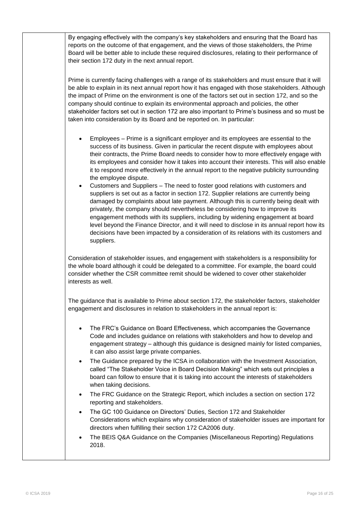| By engaging effectively with the company's key stakeholders and ensuring that the Board has                                                                                                                                                                                                                                                                                                                                                                                                                                                                                                                                                                                                                                                                                                                                                                                                                                                                                                                                                                                                                                                       |
|---------------------------------------------------------------------------------------------------------------------------------------------------------------------------------------------------------------------------------------------------------------------------------------------------------------------------------------------------------------------------------------------------------------------------------------------------------------------------------------------------------------------------------------------------------------------------------------------------------------------------------------------------------------------------------------------------------------------------------------------------------------------------------------------------------------------------------------------------------------------------------------------------------------------------------------------------------------------------------------------------------------------------------------------------------------------------------------------------------------------------------------------------|
| reports on the outcome of that engagement, and the views of those stakeholders, the Prime<br>Board will be better able to include these required disclosures, relating to their performance of<br>their section 172 duty in the next annual report.                                                                                                                                                                                                                                                                                                                                                                                                                                                                                                                                                                                                                                                                                                                                                                                                                                                                                               |
| Prime is currently facing challenges with a range of its stakeholders and must ensure that it will<br>be able to explain in its next annual report how it has engaged with those stakeholders. Although<br>the impact of Prime on the environment is one of the factors set out in section 172, and so the<br>company should continue to explain its environmental approach and policies, the other<br>stakeholder factors set out in section 172 are also important to Prime's business and so must be<br>taken into consideration by its Board and be reported on. In particular:                                                                                                                                                                                                                                                                                                                                                                                                                                                                                                                                                               |
| Employees - Prime is a significant employer and its employees are essential to the<br>success of its business. Given in particular the recent dispute with employees about<br>their contracts, the Prime Board needs to consider how to more effectively engage with<br>its employees and consider how it takes into account their interests. This will also enable<br>it to respond more effectively in the annual report to the negative publicity surrounding<br>the employee dispute.<br>Customers and Suppliers - The need to foster good relations with customers and<br>٠<br>suppliers is set out as a factor in section 172. Supplier relations are currently being<br>damaged by complaints about late payment. Although this is currently being dealt with<br>privately, the company should nevertheless be considering how to improve its<br>engagement methods with its suppliers, including by widening engagement at board<br>level beyond the Finance Director, and it will need to disclose in its annual report how its<br>decisions have been impacted by a consideration of its relations with its customers and<br>suppliers. |
| Consideration of stakeholder issues, and engagement with stakeholders is a responsibility for<br>the whole board although it could be delegated to a committee. For example, the board could<br>consider whether the CSR committee remit should be widened to cover other stakeholder<br>interests as well.                                                                                                                                                                                                                                                                                                                                                                                                                                                                                                                                                                                                                                                                                                                                                                                                                                       |
| The guidance that is available to Prime about section 172, the stakeholder factors, stakeholder<br>engagement and disclosures in relation to stakeholders in the annual report is:                                                                                                                                                                                                                                                                                                                                                                                                                                                                                                                                                                                                                                                                                                                                                                                                                                                                                                                                                                |
| The FRC's Guidance on Board Effectiveness, which accompanies the Governance<br>$\bullet$<br>Code and includes guidance on relations with stakeholders and how to develop and<br>engagement strategy - although this guidance is designed mainly for listed companies,<br>it can also assist large private companies.                                                                                                                                                                                                                                                                                                                                                                                                                                                                                                                                                                                                                                                                                                                                                                                                                              |
| The Guidance prepared by the ICSA in collaboration with the Investment Association,<br>$\bullet$<br>called "The Stakeholder Voice in Board Decision Making" which sets out principles a<br>board can follow to ensure that it is taking into account the interests of stakeholders<br>when taking decisions.                                                                                                                                                                                                                                                                                                                                                                                                                                                                                                                                                                                                                                                                                                                                                                                                                                      |
| The FRC Guidance on the Strategic Report, which includes a section on section 172<br>$\bullet$<br>reporting and stakeholders.                                                                                                                                                                                                                                                                                                                                                                                                                                                                                                                                                                                                                                                                                                                                                                                                                                                                                                                                                                                                                     |
| The GC 100 Guidance on Directors' Duties, Section 172 and Stakeholder<br>$\bullet$<br>Considerations which explains why consideration of stakeholder issues are important for<br>directors when fulfilling their section 172 CA2006 duty.                                                                                                                                                                                                                                                                                                                                                                                                                                                                                                                                                                                                                                                                                                                                                                                                                                                                                                         |
| The BEIS Q&A Guidance on the Companies (Miscellaneous Reporting) Regulations<br>٠<br>2018.                                                                                                                                                                                                                                                                                                                                                                                                                                                                                                                                                                                                                                                                                                                                                                                                                                                                                                                                                                                                                                                        |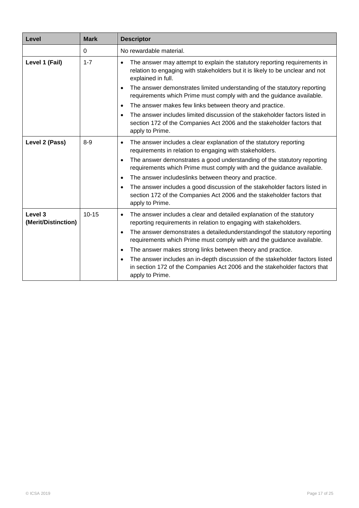| Level                          | <b>Mark</b> | <b>Descriptor</b>                                                                                                                                                                             |
|--------------------------------|-------------|-----------------------------------------------------------------------------------------------------------------------------------------------------------------------------------------------|
|                                | $\Omega$    | No rewardable material.                                                                                                                                                                       |
| Level 1 (Fail)                 | $1 - 7$     | The answer may attempt to explain the statutory reporting requirements in<br>$\bullet$<br>relation to engaging with stakeholders but it is likely to be unclear and not<br>explained in full. |
|                                |             | The answer demonstrates limited understanding of the statutory reporting<br>$\bullet$<br>requirements which Prime must comply with and the guidance available.                                |
|                                |             | The answer makes few links between theory and practice.<br>$\bullet$                                                                                                                          |
|                                |             | The answer includes limited discussion of the stakeholder factors listed in<br>$\bullet$<br>section 172 of the Companies Act 2006 and the stakeholder factors that<br>apply to Prime.         |
| Level 2 (Pass)                 | $8 - 9$     | The answer includes a clear explanation of the statutory reporting<br>$\bullet$<br>requirements in relation to engaging with stakeholders.                                                    |
|                                |             | The answer demonstrates a good understanding of the statutory reporting<br>$\bullet$<br>requirements which Prime must comply with and the guidance available.                                 |
|                                |             | The answer includeslinks between theory and practice.<br>$\bullet$                                                                                                                            |
|                                |             | The answer includes a good discussion of the stakeholder factors listed in<br>$\bullet$<br>section 172 of the Companies Act 2006 and the stakeholder factors that<br>apply to Prime.          |
| Level 3<br>(Merit/Distinction) | $10 - 15$   | The answer includes a clear and detailed explanation of the statutory<br>$\bullet$<br>reporting requirements in relation to engaging with stakeholders.                                       |
|                                |             | The answer demonstrates a detailedunderstanding of the statutory reporting<br>$\bullet$<br>requirements which Prime must comply with and the guidance available.                              |
|                                |             | The answer makes strong links between theory and practice.<br>$\bullet$                                                                                                                       |
|                                |             | The answer includes an in-depth discussion of the stakeholder factors listed<br>$\bullet$<br>in section 172 of the Companies Act 2006 and the stakeholder factors that<br>apply to Prime.     |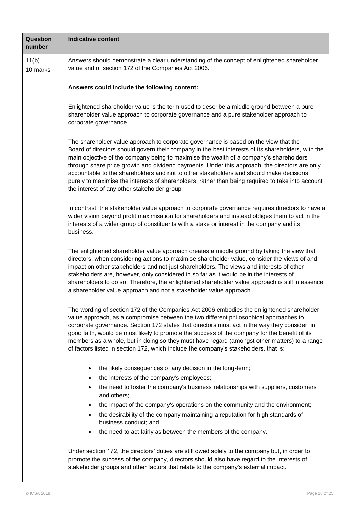| Question<br>number | <b>Indicative content</b>                                                                                                                                                                                                                                                                                                                                                                                                                                                                                                                                                                                                             |  |  |  |  |
|--------------------|---------------------------------------------------------------------------------------------------------------------------------------------------------------------------------------------------------------------------------------------------------------------------------------------------------------------------------------------------------------------------------------------------------------------------------------------------------------------------------------------------------------------------------------------------------------------------------------------------------------------------------------|--|--|--|--|
| 11(b)<br>10 marks  | Answers should demonstrate a clear understanding of the concept of enlightened shareholder<br>value and of section 172 of the Companies Act 2006.                                                                                                                                                                                                                                                                                                                                                                                                                                                                                     |  |  |  |  |
|                    | Answers could include the following content:                                                                                                                                                                                                                                                                                                                                                                                                                                                                                                                                                                                          |  |  |  |  |
|                    | Enlightened shareholder value is the term used to describe a middle ground between a pure<br>shareholder value approach to corporate governance and a pure stakeholder approach to<br>corporate governance.                                                                                                                                                                                                                                                                                                                                                                                                                           |  |  |  |  |
|                    | The shareholder value approach to corporate governance is based on the view that the<br>Board of directors should govern their company in the best interests of its shareholders, with the<br>main objective of the company being to maximise the wealth of a company's shareholders<br>through share price growth and dividend payments. Under this approach, the directors are only<br>accountable to the shareholders and not to other stakeholders and should make decisions<br>purely to maximise the interests of shareholders, rather than being required to take into account<br>the interest of any other stakeholder group. |  |  |  |  |
|                    | In contrast, the stakeholder value approach to corporate governance requires directors to have a<br>wider vision beyond profit maximisation for shareholders and instead obliges them to act in the<br>interests of a wider group of constituents with a stake or interest in the company and its<br>business.                                                                                                                                                                                                                                                                                                                        |  |  |  |  |
|                    | The enlightened shareholder value approach creates a middle ground by taking the view that<br>directors, when considering actions to maximise shareholder value, consider the views of and<br>impact on other stakeholders and not just shareholders. The views and interests of other<br>stakeholders are, however, only considered in so far as it would be in the interests of<br>shareholders to do so. Therefore, the enlightened shareholder value approach is still in essence<br>a shareholder value approach and not a stakeholder value approach.                                                                           |  |  |  |  |
|                    | The wording of section 172 of the Companies Act 2006 embodies the enlightened shareholder<br>value approach, as a compromise between the two different philosophical approaches to<br>corporate governance. Section 172 states that directors must act in the way they consider, in<br>good faith, would be most likely to promote the success of the company for the benefit of its<br>members as a whole, but in doing so they must have regard (amongst other matters) to a range<br>of factors listed in section 172, which include the company's stakeholders, that is:                                                          |  |  |  |  |
|                    | the likely consequences of any decision in the long-term;<br>the interests of the company's employees;<br>$\bullet$<br>the need to foster the company's business relationships with suppliers, customers<br>٠<br>and others;<br>the impact of the company's operations on the community and the environment;<br>٠<br>the desirability of the company maintaining a reputation for high standards of<br>business conduct; and<br>the need to act fairly as between the members of the company.                                                                                                                                         |  |  |  |  |
|                    | Under section 172, the directors' duties are still owed solely to the company but, in order to<br>promote the success of the company, directors should also have regard to the interests of<br>stakeholder groups and other factors that relate to the company's external impact.                                                                                                                                                                                                                                                                                                                                                     |  |  |  |  |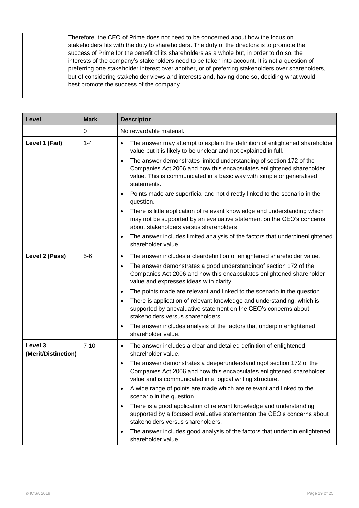| Therefore, the CEO of Prime does not need to be concerned about how the focus on                   |
|----------------------------------------------------------------------------------------------------|
| stakeholders fits with the duty to shareholders. The duty of the directors is to promote the       |
| success of Prime for the benefit of its shareholders as a whole but, in order to do so, the        |
| interests of the company's stakeholders need to be taken into account. It is not a question of     |
| preferring one stakeholder interest over another, or of preferring stakeholders over shareholders, |
| but of considering stakeholder views and interests and, having done so, deciding what would        |
| best promote the success of the company.                                                           |
|                                                                                                    |

| Level                          | <b>Mark</b> | <b>Descriptor</b>                                                                                                                                                                                                                   |
|--------------------------------|-------------|-------------------------------------------------------------------------------------------------------------------------------------------------------------------------------------------------------------------------------------|
|                                | 0           | No rewardable material.                                                                                                                                                                                                             |
| Level 1 (Fail)                 | $1 - 4$     | The answer may attempt to explain the definition of enlightened shareholder<br>$\bullet$<br>value but it is likely to be unclear and not explained in full.                                                                         |
|                                |             | The answer demonstrates limited understanding of section 172 of the<br>Companies Act 2006 and how this encapsulates enlightened shareholder<br>value. This is communicated in a basic way with simple or generalised<br>statements. |
|                                |             | Points made are superficial and not directly linked to the scenario in the<br>$\bullet$<br>question.                                                                                                                                |
|                                |             | There is little application of relevant knowledge and understanding which<br>may not be supported by an evaluative statement on the CEO's concerns<br>about stakeholders versus shareholders.                                       |
|                                |             | The answer includes limited analysis of the factors that underpinenlightened<br>shareholder value.                                                                                                                                  |
| Level 2 (Pass)                 | $5-6$       | The answer includes a cleardefinition of enlightened shareholder value.<br>$\bullet$                                                                                                                                                |
|                                |             | The answer demonstrates a good understanding of section 172 of the<br>$\bullet$<br>Companies Act 2006 and how this encapsulates enlightened shareholder<br>value and expresses ideas with clarity.                                  |
|                                |             | The points made are relevant and linked to the scenario in the question.<br>$\bullet$                                                                                                                                               |
|                                |             | There is application of relevant knowledge and understanding, which is<br>supported by anevaluative statement on the CEO's concerns about<br>stakeholders versus shareholders.                                                      |
|                                |             | The answer includes analysis of the factors that underpin enlightened<br>shareholder value.                                                                                                                                         |
| Level 3<br>(Merit/Distinction) | $7 - 10$    | The answer includes a clear and detailed definition of enlightened<br>$\bullet$<br>shareholder value.                                                                                                                               |
|                                |             | The answer demonstrates a deeperunderstandingof section 172 of the<br>Companies Act 2006 and how this encapsulates enlightened shareholder<br>value and is communicated in a logical writing structure.                             |
|                                |             | A wide range of points are made which are relevant and linked to the<br>scenario in the question.                                                                                                                                   |
|                                |             | There is a good application of relevant knowledge and understanding<br>supported by a focused evaluative statementon the CEO's concerns about<br>stakeholders versus shareholders.                                                  |
|                                |             | The answer includes good analysis of the factors that underpin enlightened<br>shareholder value.                                                                                                                                    |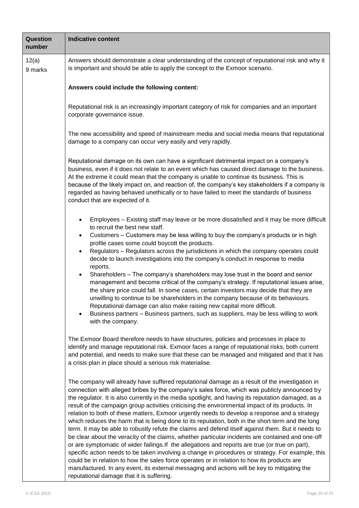| <b>Question</b><br>number | <b>Indicative content</b>                                                                                                                                                                                                                                                                                                                                                                                                                                                                                                                                                                                                                                                                                                                                                                                                                                                                                                                                                                                                                                                                                                                                                                                                                                                      |  |  |  |
|---------------------------|--------------------------------------------------------------------------------------------------------------------------------------------------------------------------------------------------------------------------------------------------------------------------------------------------------------------------------------------------------------------------------------------------------------------------------------------------------------------------------------------------------------------------------------------------------------------------------------------------------------------------------------------------------------------------------------------------------------------------------------------------------------------------------------------------------------------------------------------------------------------------------------------------------------------------------------------------------------------------------------------------------------------------------------------------------------------------------------------------------------------------------------------------------------------------------------------------------------------------------------------------------------------------------|--|--|--|
| 12(a)<br>9 marks          | Answers should demonstrate a clear understanding of the concept of reputational risk and why it<br>is important and should be able to apply the concept to the Exmoor scenario.                                                                                                                                                                                                                                                                                                                                                                                                                                                                                                                                                                                                                                                                                                                                                                                                                                                                                                                                                                                                                                                                                                |  |  |  |
|                           | Answers could include the following content:                                                                                                                                                                                                                                                                                                                                                                                                                                                                                                                                                                                                                                                                                                                                                                                                                                                                                                                                                                                                                                                                                                                                                                                                                                   |  |  |  |
|                           | Reputational risk is an increasingly important category of risk for companies and an important<br>corporate governance issue.                                                                                                                                                                                                                                                                                                                                                                                                                                                                                                                                                                                                                                                                                                                                                                                                                                                                                                                                                                                                                                                                                                                                                  |  |  |  |
|                           | The new accessibility and speed of mainstream media and social media means that reputational<br>damage to a company can occur very easily and very rapidly.                                                                                                                                                                                                                                                                                                                                                                                                                                                                                                                                                                                                                                                                                                                                                                                                                                                                                                                                                                                                                                                                                                                    |  |  |  |
|                           | Reputational damage on its own can have a significant detrimental impact on a company's<br>business, even if it does not relate to an event which has caused direct damage to the business.<br>At the extreme it could mean that the company is unable to continue its business. This is<br>because of the likely impact on, and reaction of, the company's key stakeholders if a company is<br>regarded as having behaved unethically or to have failed to meet the standards of business<br>conduct that are expected of it.                                                                                                                                                                                                                                                                                                                                                                                                                                                                                                                                                                                                                                                                                                                                                 |  |  |  |
|                           | Employees - Existing staff may leave or be more dissatisfied and it may be more difficult<br>to recruit the best new staff.<br>Customers – Customers may be less willing to buy the company's products or in high<br>٠<br>profile cases some could boycott the products.<br>Regulators - Regulators across the jurisdictions in which the company operates could<br>$\bullet$<br>decide to launch investigations into the company's conduct in response to media<br>reports.<br>Shareholders - The company's shareholders may lose trust in the board and senior<br>$\bullet$<br>management and become critical of the company's strategy. If reputational issues arise,<br>the share price could fall. In some cases, certain investors may decide that they are<br>unwilling to continue to be shareholders in the company because of its behaviours.<br>Reputational damage can also make raising new capital more difficult.<br>Business partners - Business partners, such as suppliers, may be less willing to work<br>with the company.                                                                                                                                                                                                                                 |  |  |  |
|                           | The Exmoor Board therefore needs to have structures, policies and processes in place to<br>identify and manage reputational risk. Exmoor faces a range of reputational risks, both current<br>and potential, and needs to make sure that these can be managed and mitigated and that it has<br>a crisis plan in place should a serious risk materialise.                                                                                                                                                                                                                                                                                                                                                                                                                                                                                                                                                                                                                                                                                                                                                                                                                                                                                                                       |  |  |  |
|                           | The company will already have suffered reputational damage as a result of the investigation in<br>connection with alleged bribes by the company's sales force, which was publicly announced by<br>the regulator. It is also currently in the media spotlight, and having its reputation damaged, as a<br>result of the campaign group activities criticising the environmental impact of its products. In<br>relation to both of these matters, Exmoor urgently needs to develop a response and a strategy<br>which reduces the harm that is being done to its reputation, both in the short term and the long<br>term. It may be able to robustly refute the claims and defend itself against them. But it needs to<br>be clear about the veracity of the claims, whether particular incidents are contained and one-off<br>or are symptomatic of wider failings. If the allegations and reports are true (or true on part),<br>specific action needs to be taken involving a change in procedures or strategy. For example, this<br>could be in relation to how the sales force operates or in relation to how its products are<br>manufactured. In any event, its external messaging and actions will be key to mitigating the<br>reputational damage that it is suffering. |  |  |  |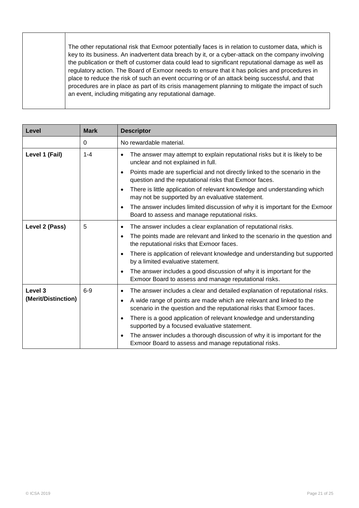| The other reputational risk that Exmoor potentially faces is in relation to customer data, which is<br>key to its business. An inadvertent data breach by it, or a cyber-attack on the company involving<br>the publication or theft of customer data could lead to significant reputational damage as well as<br>regulatory action. The Board of Exmoor needs to ensure that it has policies and procedures in<br>place to reduce the risk of such an event occurring or of an attack being successful, and that |
|-------------------------------------------------------------------------------------------------------------------------------------------------------------------------------------------------------------------------------------------------------------------------------------------------------------------------------------------------------------------------------------------------------------------------------------------------------------------------------------------------------------------|
| procedures are in place as part of its crisis management planning to mitigate the impact of such<br>an event, including mitigating any reputational damage.                                                                                                                                                                                                                                                                                                                                                       |

| Level               | <b>Mark</b> | <b>Descriptor</b>                                                                                                                                           |
|---------------------|-------------|-------------------------------------------------------------------------------------------------------------------------------------------------------------|
|                     | $\Omega$    | No rewardable material.                                                                                                                                     |
| Level 1 (Fail)      | $1 - 4$     | The answer may attempt to explain reputational risks but it is likely to be<br>$\bullet$<br>unclear and not explained in full.                              |
|                     |             | Points made are superficial and not directly linked to the scenario in the<br>$\bullet$<br>question and the reputational risks that Exmoor faces.           |
|                     |             | There is little application of relevant knowledge and understanding which<br>$\bullet$<br>may not be supported by an evaluative statement.                  |
|                     |             | The answer includes limited discussion of why it is important for the Exmoor<br>$\bullet$<br>Board to assess and manage reputational risks.                 |
| Level 2 (Pass)      | 5           | The answer includes a clear explanation of reputational risks.<br>$\bullet$                                                                                 |
|                     |             | The points made are relevant and linked to the scenario in the question and<br>$\bullet$<br>the reputational risks that Exmoor faces.                       |
|                     |             | There is application of relevant knowledge and understanding but supported<br>$\bullet$<br>by a limited evaluative statement.                               |
|                     |             | The answer includes a good discussion of why it is important for the<br>$\bullet$<br>Exmoor Board to assess and manage reputational risks.                  |
| Level 3             | $6-9$       | The answer includes a clear and detailed explanation of reputational risks.<br>$\bullet$                                                                    |
| (Merit/Distinction) |             | A wide range of points are made which are relevant and linked to the<br>$\bullet$<br>scenario in the question and the reputational risks that Exmoor faces. |
|                     |             | There is a good application of relevant knowledge and understanding<br>$\bullet$<br>supported by a focused evaluative statement.                            |
|                     |             | The answer includes a thorough discussion of why it is important for the<br>$\bullet$<br>Exmoor Board to assess and manage reputational risks.              |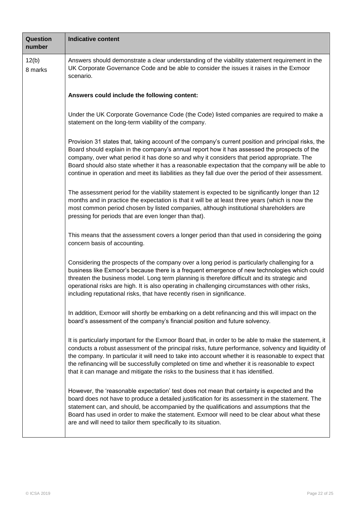| Question<br>number | <b>Indicative content</b>                                                                                                                                                                                                                                                                                                                                                                                                                                                                                     |
|--------------------|---------------------------------------------------------------------------------------------------------------------------------------------------------------------------------------------------------------------------------------------------------------------------------------------------------------------------------------------------------------------------------------------------------------------------------------------------------------------------------------------------------------|
| 12(b)<br>8 marks   | Answers should demonstrate a clear understanding of the viability statement requirement in the<br>UK Corporate Governance Code and be able to consider the issues it raises in the Exmoor<br>scenario.                                                                                                                                                                                                                                                                                                        |
|                    | Answers could include the following content:                                                                                                                                                                                                                                                                                                                                                                                                                                                                  |
|                    | Under the UK Corporate Governance Code (the Code) listed companies are required to make a<br>statement on the long-term viability of the company.                                                                                                                                                                                                                                                                                                                                                             |
|                    | Provision 31 states that, taking account of the company's current position and principal risks, the<br>Board should explain in the company's annual report how it has assessed the prospects of the<br>company, over what period it has done so and why it considers that period appropriate. The<br>Board should also state whether it has a reasonable expectation that the company will be able to<br>continue in operation and meet its liabilities as they fall due over the period of their assessment. |
|                    | The assessment period for the viability statement is expected to be significantly longer than 12<br>months and in practice the expectation is that it will be at least three years (which is now the<br>most common period chosen by listed companies, although institutional shareholders are<br>pressing for periods that are even longer than that).                                                                                                                                                       |
|                    | This means that the assessment covers a longer period than that used in considering the going<br>concern basis of accounting.                                                                                                                                                                                                                                                                                                                                                                                 |
|                    | Considering the prospects of the company over a long period is particularly challenging for a<br>business like Exmoor's because there is a frequent emergence of new technologies which could<br>threaten the business model. Long term planning is therefore difficult and its strategic and<br>operational risks are high. It is also operating in challenging circumstances with other risks,<br>including reputational risks, that have recently risen in significance.                                   |
|                    | In addition, Exmoor will shortly be embarking on a debt refinancing and this will impact on the<br>board's assessment of the company's financial position and future solvency.                                                                                                                                                                                                                                                                                                                                |
|                    | It is particularly important for the Exmoor Board that, in order to be able to make the statement, it<br>conducts a robust assessment of the principal risks, future performance, solvency and liquidity of<br>the company. In particular it will need to take into account whether it is reasonable to expect that<br>the refinancing will be successfully completed on time and whether it is reasonable to expect<br>that it can manage and mitigate the risks to the business that it has identified.     |
|                    | However, the 'reasonable expectation' test does not mean that certainty is expected and the<br>board does not have to produce a detailed justification for its assessment in the statement. The<br>statement can, and should, be accompanied by the qualifications and assumptions that the<br>Board has used in order to make the statement. Exmoor will need to be clear about what these<br>are and will need to tailor them specifically to its situation.                                                |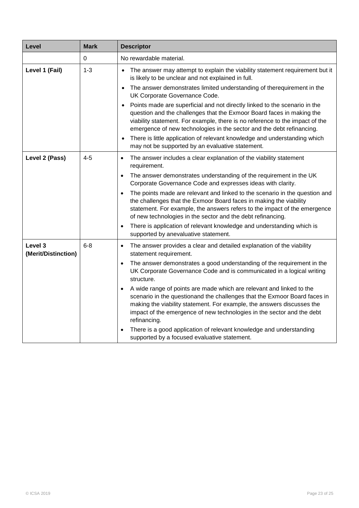| Level                          | <b>Mark</b> | <b>Descriptor</b>                                                                                                                                                                                                                                                                                                                                                                                                   |
|--------------------------------|-------------|---------------------------------------------------------------------------------------------------------------------------------------------------------------------------------------------------------------------------------------------------------------------------------------------------------------------------------------------------------------------------------------------------------------------|
|                                | $\pmb{0}$   | No rewardable material.                                                                                                                                                                                                                                                                                                                                                                                             |
| Level 1 (Fail)                 | $1 - 3$     | The answer may attempt to explain the viability statement requirement but it<br>$\bullet$<br>is likely to be unclear and not explained in full.<br>The answer demonstrates limited understanding of therequirement in the<br>$\bullet$<br>UK Corporate Governance Code.                                                                                                                                             |
|                                |             | Points made are superficial and not directly linked to the scenario in the<br>$\bullet$<br>question and the challenges that the Exmoor Board faces in making the<br>viability statement. For example, there is no reference to the impact of the<br>emergence of new technologies in the sector and the debt refinancing.<br>There is little application of relevant knowledge and understanding which<br>$\bullet$ |
|                                |             | may not be supported by an evaluative statement.                                                                                                                                                                                                                                                                                                                                                                    |
| Level 2 (Pass)                 | $4 - 5$     | The answer includes a clear explanation of the viability statement<br>$\bullet$<br>requirement.                                                                                                                                                                                                                                                                                                                     |
|                                |             | The answer demonstrates understanding of the requirement in the UK<br>$\bullet$<br>Corporate Governance Code and expresses ideas with clarity.                                                                                                                                                                                                                                                                      |
|                                |             | The points made are relevant and linked to the scenario in the question and<br>$\bullet$<br>the challenges that the Exmoor Board faces in making the viability<br>statement. For example, the answers refers to the impact of the emergence<br>of new technologies in the sector and the debt refinancing.                                                                                                          |
|                                |             | There is application of relevant knowledge and understanding which is<br>$\bullet$<br>supported by anevaluative statement.                                                                                                                                                                                                                                                                                          |
| Level 3<br>(Merit/Distinction) | $6 - 8$     | The answer provides a clear and detailed explanation of the viability<br>$\bullet$<br>statement requirement.                                                                                                                                                                                                                                                                                                        |
|                                |             | The answer demonstrates a good understanding of the requirement in the<br>$\bullet$<br>UK Corporate Governance Code and is communicated in a logical writing<br>structure.                                                                                                                                                                                                                                          |
|                                |             | A wide range of points are made which are relevant and linked to the<br>$\bullet$<br>scenario in the questionand the challenges that the Exmoor Board faces in<br>making the viability statement. For example, the answers discusses the<br>impact of the emergence of new technologies in the sector and the debt<br>refinancing.                                                                                  |
|                                |             | There is a good application of relevant knowledge and understanding<br>$\bullet$<br>supported by a focused evaluative statement.                                                                                                                                                                                                                                                                                    |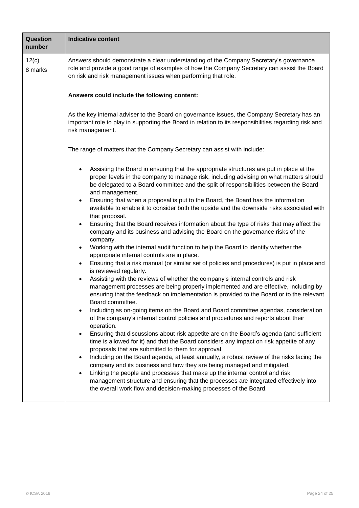| Question<br>number | <b>Indicative content</b>                                                                                                                                                                                                                                                                                                                                                                                                                                                                                                                                                                                                                                                                                                                                                                                                                                                                                                                                                                                                                                                                                                                                                                                                                                                                      |  |  |  |
|--------------------|------------------------------------------------------------------------------------------------------------------------------------------------------------------------------------------------------------------------------------------------------------------------------------------------------------------------------------------------------------------------------------------------------------------------------------------------------------------------------------------------------------------------------------------------------------------------------------------------------------------------------------------------------------------------------------------------------------------------------------------------------------------------------------------------------------------------------------------------------------------------------------------------------------------------------------------------------------------------------------------------------------------------------------------------------------------------------------------------------------------------------------------------------------------------------------------------------------------------------------------------------------------------------------------------|--|--|--|
| 12(c)<br>8 marks   | Answers should demonstrate a clear understanding of the Company Secretary's governance<br>role and provide a good range of examples of how the Company Secretary can assist the Board<br>on risk and risk management issues when performing that role.                                                                                                                                                                                                                                                                                                                                                                                                                                                                                                                                                                                                                                                                                                                                                                                                                                                                                                                                                                                                                                         |  |  |  |
|                    | Answers could include the following content:                                                                                                                                                                                                                                                                                                                                                                                                                                                                                                                                                                                                                                                                                                                                                                                                                                                                                                                                                                                                                                                                                                                                                                                                                                                   |  |  |  |
|                    | As the key internal adviser to the Board on governance issues, the Company Secretary has an<br>important role to play in supporting the Board in relation to its responsibilities regarding risk and<br>risk management.                                                                                                                                                                                                                                                                                                                                                                                                                                                                                                                                                                                                                                                                                                                                                                                                                                                                                                                                                                                                                                                                       |  |  |  |
|                    | The range of matters that the Company Secretary can assist with include:                                                                                                                                                                                                                                                                                                                                                                                                                                                                                                                                                                                                                                                                                                                                                                                                                                                                                                                                                                                                                                                                                                                                                                                                                       |  |  |  |
|                    | Assisting the Board in ensuring that the appropriate structures are put in place at the<br>$\bullet$<br>proper levels in the company to manage risk, including advising on what matters should<br>be delegated to a Board committee and the split of responsibilities between the Board<br>and management.<br>Ensuring that when a proposal is put to the Board, the Board has the information<br>$\bullet$<br>available to enable it to consider both the upside and the downside risks associated with<br>that proposal.<br>Ensuring that the Board receives information about the type of risks that may affect the<br>$\bullet$<br>company and its business and advising the Board on the governance risks of the<br>company.<br>Working with the internal audit function to help the Board to identify whether the<br>$\bullet$<br>appropriate internal controls are in place.<br>Ensuring that a risk manual (or similar set of policies and procedures) is put in place and<br>$\bullet$<br>is reviewed regularly.<br>Assisting with the reviews of whether the company's internal controls and risk<br>management processes are being properly implemented and are effective, including by<br>ensuring that the feedback on implementation is provided to the Board or to the relevant |  |  |  |
|                    | Board committee.<br>Including as on-going items on the Board and Board committee agendas, consideration<br>٠<br>of the company's internal control policies and procedures and reports about their<br>operation.<br>Ensuring that discussions about risk appetite are on the Board's agenda (and sufficient<br>time is allowed for it) and that the Board considers any impact on risk appetite of any<br>proposals that are submitted to them for approval.<br>Including on the Board agenda, at least annually, a robust review of the risks facing the<br>$\bullet$<br>company and its business and how they are being managed and mitigated.<br>Linking the people and processes that make up the internal control and risk<br>management structure and ensuring that the processes are integrated effectively into<br>the overall work flow and decision-making processes of the Board.                                                                                                                                                                                                                                                                                                                                                                                                    |  |  |  |